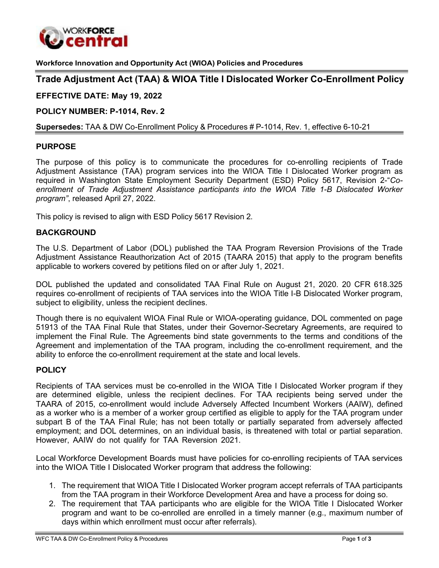

**Workforce Innovation and Opportunity Act (WIOA) Policies and Procedures**

# **Trade Adjustment Act (TAA) & WIOA Title I Dislocated Worker Co-Enrollment Policy**

**EFFECTIVE DATE: May 19, 2022** 

**POLICY NUMBER: P-1014, Rev. 2**

**Supersedes:** TAA & DW Co-Enrollment Policy & Procedures # P-1014, Rev. 1, effective 6-10-21

### **PURPOSE**

The purpose of this policy is to communicate the procedures for co-enrolling recipients of Trade Adjustment Assistance (TAA) program services into the WIOA Title I Dislocated Worker program as required in Washington State Employment Security Department (ESD) Policy 5617, Revision 2-"*Coenrollment of Trade Adjustment Assistance participants into the WIOA Title 1-B Dislocated Worker program"*, released April 27, 2022.

This policy is revised to align with ESD Policy 5617 Revision 2.

### **BACKGROUND**

The U.S. Department of Labor (DOL) published the TAA Program Reversion Provisions of the Trade Adjustment Assistance Reauthorization Act of 2015 (TAARA 2015) that apply to the program benefits applicable to workers covered by petitions filed on or after July 1, 2021.

DOL published the updated and consolidated TAA Final Rule on August 21, 2020. 20 CFR 618.325 requires co-enrollment of recipients of TAA services into the WIOA Title I-B Dislocated Worker program, subject to eligibility, unless the recipient declines.

Though there is no equivalent WIOA Final Rule or WIOA-operating guidance, DOL commented on page 51913 of the TAA Final Rule that States, under their Governor-Secretary Agreements, are required to implement the Final Rule. The Agreements bind state governments to the terms and conditions of the Agreement and implementation of the TAA program, including the co-enrollment requirement, and the ability to enforce the co-enrollment requirement at the state and local levels.

#### **POLICY**

Recipients of TAA services must be co-enrolled in the WIOA Title I Dislocated Worker program if they are determined eligible, unless the recipient declines. For TAA recipients being served under the TAARA of 2015, co-enrollment would include Adversely Affected Incumbent Workers (AAIW), defined as a worker who is a member of a worker group certified as eligible to apply for the TAA program under subpart B of the TAA Final Rule; has not been totally or partially separated from adversely affected employment; and DOL determines, on an individual basis, is threatened with total or partial separation. However, AAIW do not qualify for TAA Reversion 2021.

Local Workforce Development Boards must have policies for co-enrolling recipients of TAA services into the WIOA Title I Dislocated Worker program that address the following:

- 1. The requirement that WIOA Title I Dislocated Worker program accept referrals of TAA participants from the TAA program in their Workforce Development Area and have a process for doing so.
- 2. The requirement that TAA participants who are eligible for the WIOA Title I Dislocated Worker program and want to be co-enrolled are enrolled in a timely manner (e.g., maximum number of days within which enrollment must occur after referrals).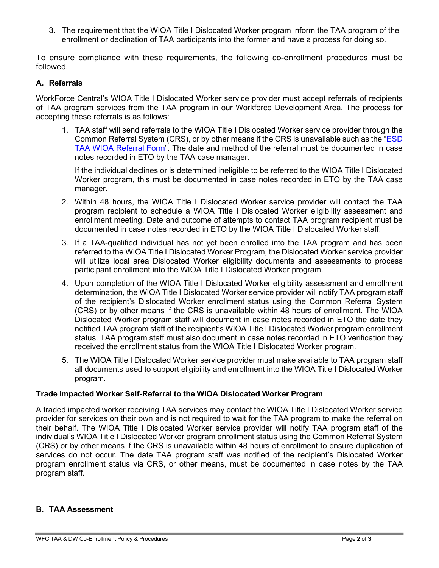3. The requirement that the WIOA Title I Dislocated Worker program inform the TAA program of the enrollment or declination of TAA participants into the former and have a process for doing so.

To ensure compliance with these requirements, the following co-enrollment procedures must be followed.

### **A. Referrals**

WorkForce Central's WIOA Title I Dislocated Worker service provider must accept referrals of recipients of TAA program services from the TAA program in our Workforce Development Area. The process for accepting these referrals is as follows:

1. TAA staff will send referrals to the WIOA Title I Dislocated Worker service provider through the Common Referral System (CRS), or by other means if the CRS is unavailable such as the ["ESD](https://workforce-central.org/wp-content/uploads/2021/04/esd-taa-wioa-referral-form.pdf) [TAA WIOA Referral Form"](https://workforce-central.org/wp-content/uploads/2021/04/esd-taa-wioa-referral-form.pdf). The date and method of the referral must be documented in case notes recorded in ETO by the TAA case manager.

If the individual declines or is determined ineligible to be referred to the WIOA Title I Dislocated Worker program, this must be documented in case notes recorded in ETO by the TAA case manager.

- 2. Within 48 hours, the WIOA Title I Dislocated Worker service provider will contact the TAA program recipient to schedule a WIOA Title I Dislocated Worker eligibility assessment and enrollment meeting. Date and outcome of attempts to contact TAA program recipient must be documented in case notes recorded in ETO by the WIOA Title I Dislocated Worker staff.
- 3. If a TAA-qualified individual has not yet been enrolled into the TAA program and has been referred to the WIOA Title I Dislocated Worker Program, the Dislocated Worker service provider will utilize local area Dislocated Worker eligibility documents and assessments to process participant enrollment into the WIOA Title I Dislocated Worker program.
- 4. Upon completion of the WIOA Title I Dislocated Worker eligibility assessment and enrollment determination, the WIOA Title I Dislocated Worker service provider will notify TAA program staff of the recipient's Dislocated Worker enrollment status using the Common Referral System (CRS) or by other means if the CRS is unavailable within 48 hours of enrollment. The WIOA Dislocated Worker program staff will document in case notes recorded in ETO the date they notified TAA program staff of the recipient's WIOA Title I Dislocated Worker program enrollment status. TAA program staff must also document in case notes recorded in ETO verification they received the enrollment status from the WIOA Title I Dislocated Worker program.
- 5. The WIOA Title I Dislocated Worker service provider must make available to TAA program staff all documents used to support eligibility and enrollment into the WIOA Title I Dislocated Worker program.

#### **Trade Impacted Worker Self-Referral to the WIOA Dislocated Worker Program**

A traded impacted worker receiving TAA services may contact the WIOA Title I Dislocated Worker service provider for services on their own and is not required to wait for the TAA program to make the referral on their behalf. The WIOA Title I Dislocated Worker service provider will notify TAA program staff of the individual's WIOA Title I Dislocated Worker program enrollment status using the Common Referral System (CRS) or by other means if the CRS is unavailable within 48 hours of enrollment to ensure duplication of services do not occur. The date TAA program staff was notified of the recipient's Dislocated Worker program enrollment status via CRS, or other means, must be documented in case notes by the TAA program staff.

#### **B. TAA Assessment**